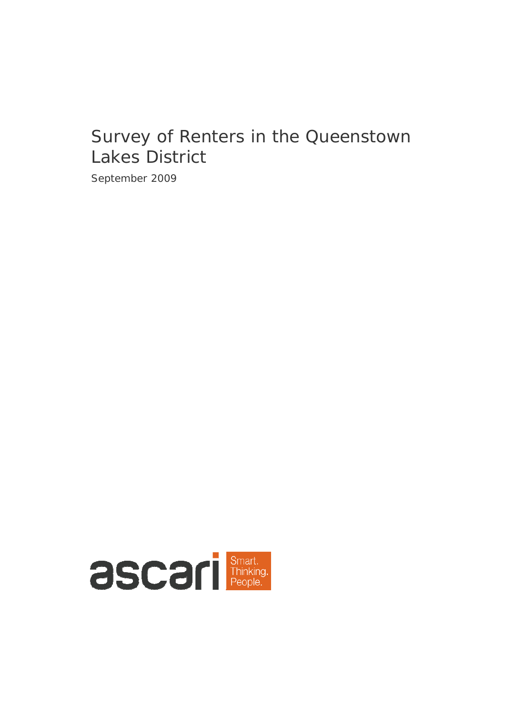# Survey of Renters in the Queenstown Lakes District

September 2009

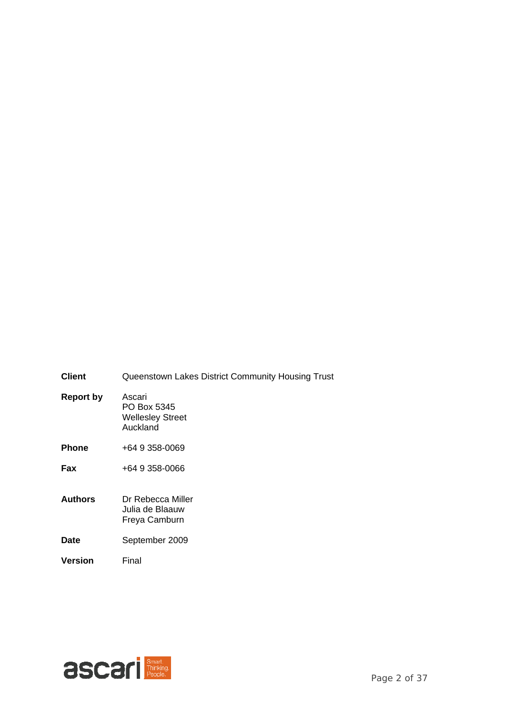- **Client** Queenstown Lakes District Community Housing Trust **Report by** Ascari PO Box 5345 Wellesley Street Auckland **Phone** +64 9 358-0069 **Fax** +64 9 358-0066 **Authors** Dr Rebecca Miller Julia de Blaauw Freya Camburn **Date** September 2009
- **Version** Final

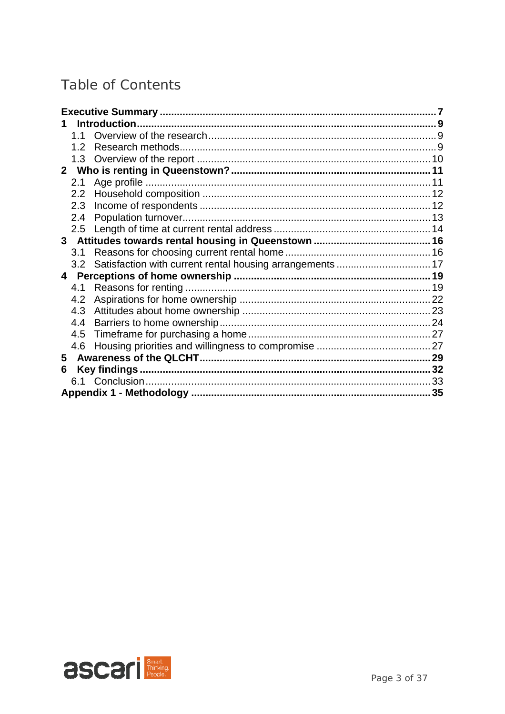# Table of Contents

|                | 1.1              |                                                           |  |
|----------------|------------------|-----------------------------------------------------------|--|
|                | 1.2 <sub>1</sub> |                                                           |  |
|                | 1.3              |                                                           |  |
| 2 <sup>7</sup> |                  |                                                           |  |
|                | 2.1              |                                                           |  |
|                | 2.2              |                                                           |  |
|                | 2.3              |                                                           |  |
|                | 2.4              |                                                           |  |
|                | 2.5              |                                                           |  |
|                |                  |                                                           |  |
|                | 3.1              |                                                           |  |
|                | 3.2              | Satisfaction with current rental housing arrangements  17 |  |
| 4              |                  |                                                           |  |
|                | 4.1              |                                                           |  |
|                | 4.2              |                                                           |  |
|                | 4.3              |                                                           |  |
|                | 4.4              |                                                           |  |
|                | 4.5              |                                                           |  |
|                | 4.6              |                                                           |  |
| 5              |                  |                                                           |  |
| 6              |                  |                                                           |  |
|                |                  |                                                           |  |
|                |                  |                                                           |  |

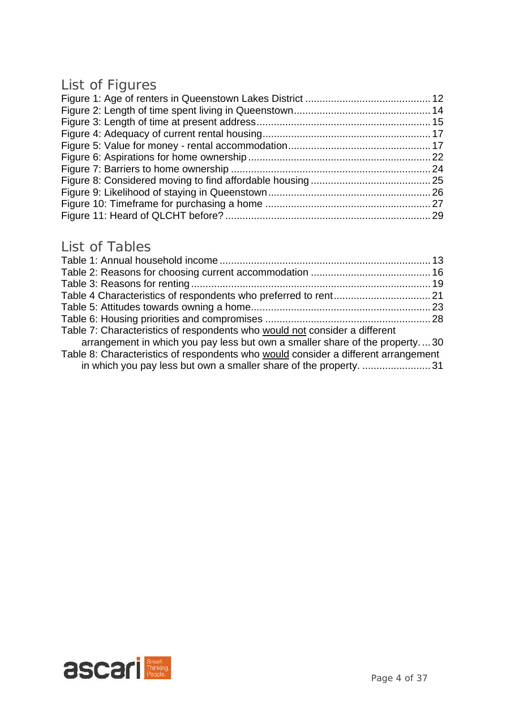# List of Figures

## List of Tables

| Table 7: Characteristics of respondents who would not consider a different                                                                              |  |
|---------------------------------------------------------------------------------------------------------------------------------------------------------|--|
| arrangement in which you pay less but own a smaller share of the property30                                                                             |  |
| Table 8: Characteristics of respondents who would consider a different arrangement<br>in which you pay less but own a smaller share of the property. 31 |  |

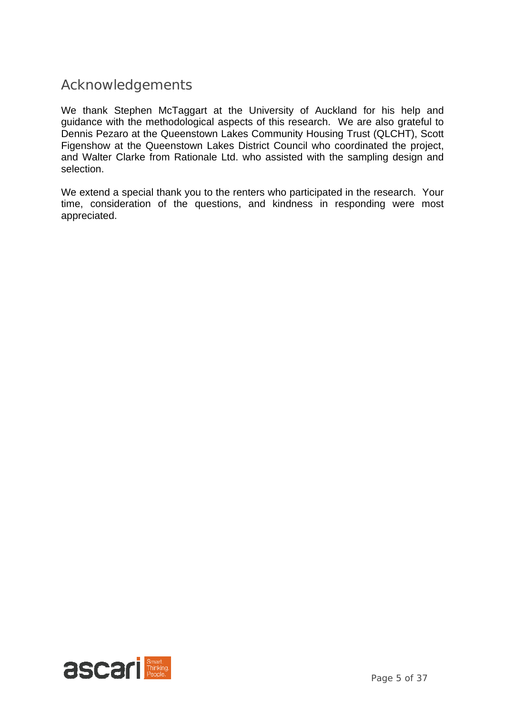## Acknowledgements

We thank Stephen McTaggart at the University of Auckland for his help and guidance with the methodological aspects of this research. We are also grateful to Dennis Pezaro at the Queenstown Lakes Community Housing Trust (QLCHT), Scott Figenshow at the Queenstown Lakes District Council who coordinated the project, and Walter Clarke from Rationale Ltd. who assisted with the sampling design and selection.

We extend a special thank you to the renters who participated in the research. Your time, consideration of the questions, and kindness in responding were most appreciated.

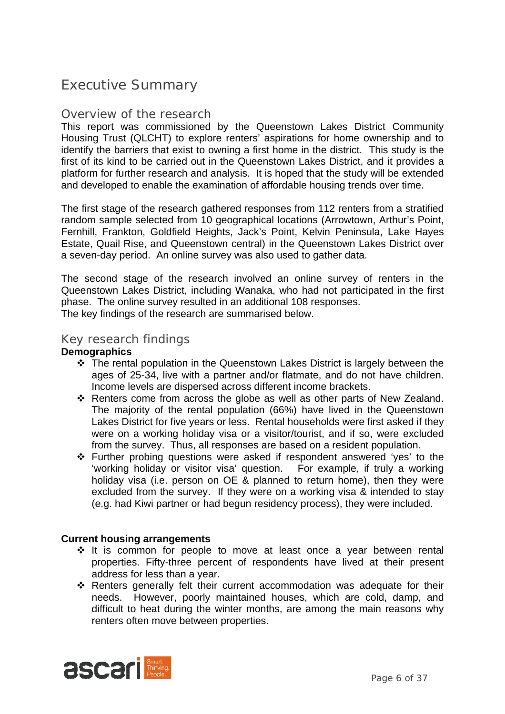## Executive Summary

### Overview of the research

This report was commissioned by the Queenstown Lakes District Community Housing Trust (QLCHT) to explore renters' aspirations for home ownership and to identify the barriers that exist to owning a first home in the district. This study is the first of its kind to be carried out in the Queenstown Lakes District, and it provides a platform for further research and analysis. It is hoped that the study will be extended and developed to enable the examination of affordable housing trends over time.

The first stage of the research gathered responses from 112 renters from a stratified random sample selected from 10 geographical locations (Arrowtown, Arthur's Point, Fernhill, Frankton, Goldfield Heights, Jack's Point, Kelvin Peninsula, Lake Hayes Estate, Quail Rise, and Queenstown central) in the Queenstown Lakes District over a seven-day period. An online survey was also used to gather data.

The second stage of the research involved an online survey of renters in the Queenstown Lakes District, including Wanaka, who had not participated in the first phase. The online survey resulted in an additional 108 responses. The key findings of the research are summarised below.

### Key research findings

#### **Demographics**

- The rental population in the Queenstown Lakes District is largely between the ages of 25-34, live with a partner and/or flatmate, and do not have children. Income levels are dispersed across different income brackets.
- \* Renters come from across the globe as well as other parts of New Zealand. The majority of the rental population (66%) have lived in the Queenstown Lakes District for five years or less. Rental households were first asked if they were on a working holiday visa or a visitor/tourist, and if so, were excluded from the survey. Thus, all responses are based on a resident population.
- Further probing questions were asked if respondent answered 'yes' to the 'working holiday or visitor visa' question. For example, if truly a working holiday visa (i.e. person on OE & planned to return home), then they were excluded from the survey. If they were on a working visa & intended to stay (e.g. had Kiwi partner or had begun residency process), they were included.

### **Current housing arrangements**

- $\div$  It is common for people to move at least once a year between rental properties. Fifty-three percent of respondents have lived at their present address for less than a year.
- Renters generally felt their current accommodation was adequate for their needs. However, poorly maintained houses, which are cold, damp, and difficult to heat during the winter months, are among the main reasons why renters often move between properties.

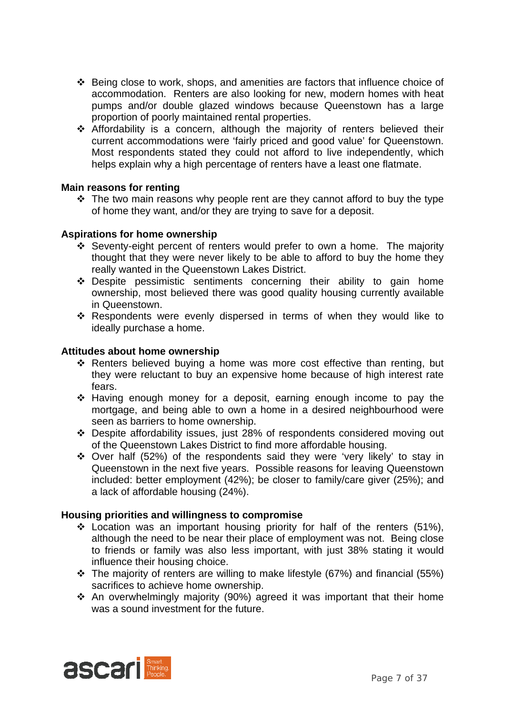- Being close to work, shops, and amenities are factors that influence choice of accommodation. Renters are also looking for new, modern homes with heat pumps and/or double glazed windows because Queenstown has a large proportion of poorly maintained rental properties.
- Affordability is a concern, although the majority of renters believed their current accommodations were 'fairly priced and good value' for Queenstown. Most respondents stated they could not afford to live independently, which helps explain why a high percentage of renters have a least one flatmate.

### **Main reasons for renting**

 $\div$  The two main reasons why people rent are they cannot afford to buy the type of home they want, and/or they are trying to save for a deposit.

#### **Aspirations for home ownership**

- Seventy-eight percent of renters would prefer to own a home. The majority thought that they were never likely to be able to afford to buy the home they really wanted in the Queenstown Lakes District.
- \* Despite pessimistic sentiments concerning their ability to gain home ownership, most believed there was good quality housing currently available in Queenstown.
- \* Respondents were evenly dispersed in terms of when they would like to ideally purchase a home.

#### **Attitudes about home ownership**

- \* Renters believed buying a home was more cost effective than renting, but they were reluctant to buy an expensive home because of high interest rate fears.
- Having enough money for a deposit, earning enough income to pay the mortgage, and being able to own a home in a desired neighbourhood were seen as barriers to home ownership.
- Despite affordability issues, just 28% of respondents considered moving out of the Queenstown Lakes District to find more affordable housing.
- Over half (52%) of the respondents said they were 'very likely' to stay in Queenstown in the next five years. Possible reasons for leaving Queenstown included: better employment (42%); be closer to family/care giver (25%); and a lack of affordable housing (24%).

#### **Housing priorities and willingness to compromise**

- $\div$  Location was an important housing priority for half of the renters (51%), although the need to be near their place of employment was not. Being close to friends or family was also less important, with just 38% stating it would influence their housing choice.
- $\div$  The majority of renters are willing to make lifestyle (67%) and financial (55%) sacrifices to achieve home ownership.
- An overwhelmingly majority (90%) agreed it was important that their home was a sound investment for the future.

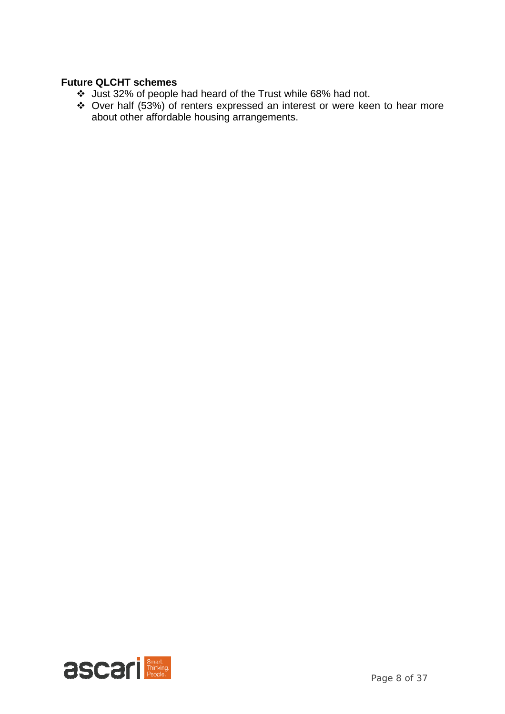### **Future QLCHT schemes**

- Just 32% of people had heard of the Trust while 68% had not.
- Over half (53%) of renters expressed an interest or were keen to hear more about other affordable housing arrangements.

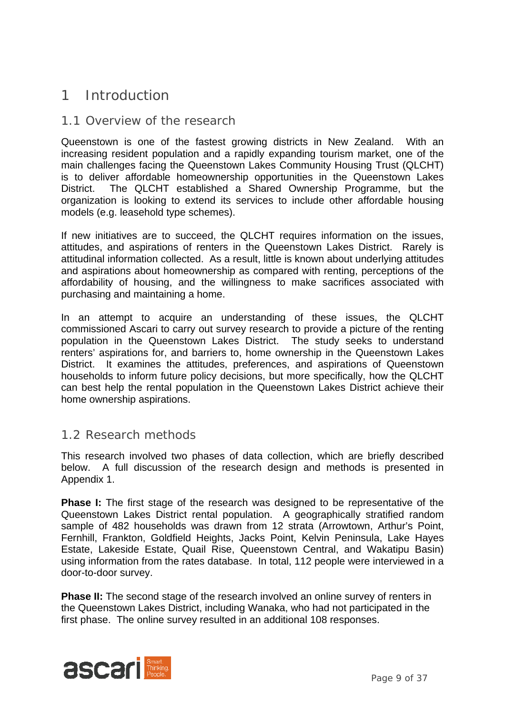## 1 Introduction

### 1.1 Overview of the research

Queenstown is one of the fastest growing districts in New Zealand. With an increasing resident population and a rapidly expanding tourism market, one of the main challenges facing the Queenstown Lakes Community Housing Trust (QLCHT) is to deliver affordable homeownership opportunities in the Queenstown Lakes District. The QLCHT established a Shared Ownership Programme, but the organization is looking to extend its services to include other affordable housing models (e.g. leasehold type schemes).

If new initiatives are to succeed, the QLCHT requires information on the issues, attitudes, and aspirations of renters in the Queenstown Lakes District. Rarely is attitudinal information collected. As a result, little is known about underlying attitudes and aspirations about homeownership as compared with renting, perceptions of the affordability of housing, and the willingness to make sacrifices associated with purchasing and maintaining a home.

In an attempt to acquire an understanding of these issues, the QLCHT commissioned Ascari to carry out survey research to provide a picture of the renting population in the Queenstown Lakes District. The study seeks to understand renters' aspirations for, and barriers to, home ownership in the Queenstown Lakes District. It examines the attitudes, preferences, and aspirations of Queenstown households to inform future policy decisions, but more specifically, how the QLCHT can best help the rental population in the Queenstown Lakes District achieve their home ownership aspirations.

### 1.2 Research methods

This research involved two phases of data collection, which are briefly described below. A full discussion of the research design and methods is presented in Appendix 1.

**Phase I:** The first stage of the research was designed to be representative of the Queenstown Lakes District rental population. A geographically stratified random sample of 482 households was drawn from 12 strata (Arrowtown, Arthur's Point, Fernhill, Frankton, Goldfield Heights, Jacks Point, Kelvin Peninsula, Lake Hayes Estate, Lakeside Estate, Quail Rise, Queenstown Central, and Wakatipu Basin) using information from the rates database. In total, 112 people were interviewed in a door-to-door survey.

**Phase II:** The second stage of the research involved an online survey of renters in the Queenstown Lakes District, including Wanaka, who had not participated in the first phase. The online survey resulted in an additional 108 responses.

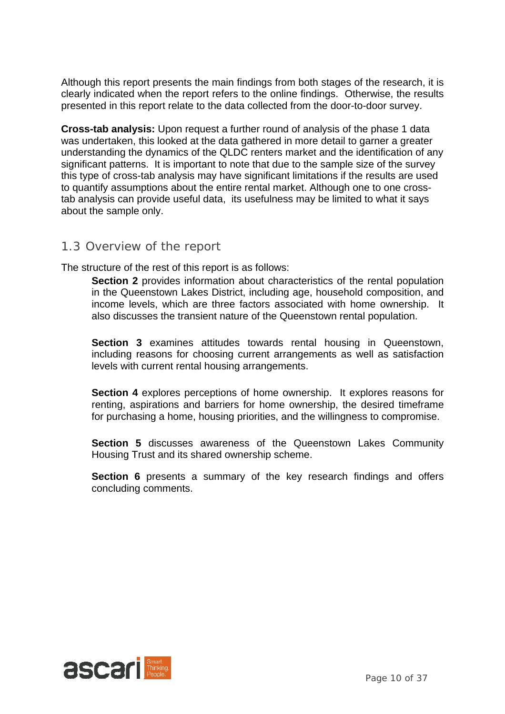Although this report presents the main findings from both stages of the research, it is clearly indicated when the report refers to the online findings. Otherwise, the results presented in this report relate to the data collected from the door-to-door survey.

**Cross-tab analysis:** Upon request a further round of analysis of the phase 1 data was undertaken, this looked at the data gathered in more detail to garner a greater understanding the dynamics of the QLDC renters market and the identification of any significant patterns. It is important to note that due to the sample size of the survey this type of cross-tab analysis may have significant limitations if the results are used to quantify assumptions about the entire rental market. Although one to one crosstab analysis can provide useful data, its usefulness may be limited to what it says about the sample only.

### 1.3 Overview of the report

The structure of the rest of this report is as follows:

**Section 2** provides information about characteristics of the rental population in the Queenstown Lakes District, including age, household composition, and income levels, which are three factors associated with home ownership. It also discusses the transient nature of the Queenstown rental population.

**Section 3** examines attitudes towards rental housing in Queenstown, including reasons for choosing current arrangements as well as satisfaction levels with current rental housing arrangements.

**Section 4** explores perceptions of home ownership. It explores reasons for renting, aspirations and barriers for home ownership, the desired timeframe for purchasing a home, housing priorities, and the willingness to compromise.

**Section 5** discusses awareness of the Queenstown Lakes Community Housing Trust and its shared ownership scheme.

**Section 6** presents a summary of the key research findings and offers concluding comments.

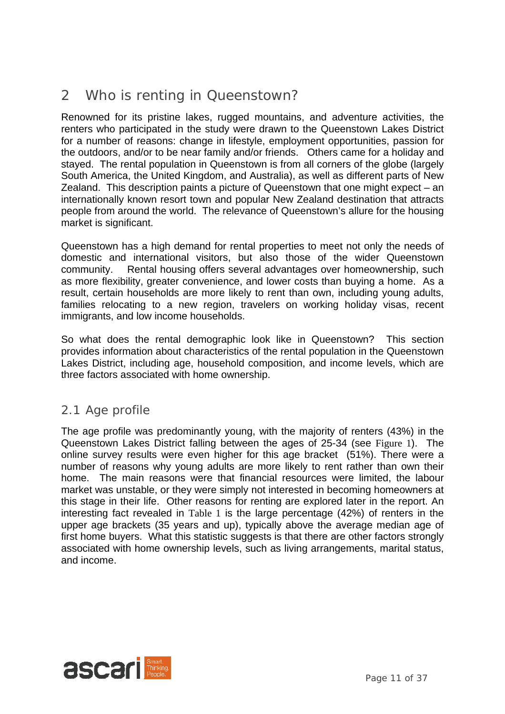## 2 Who is renting in Queenstown?

Renowned for its pristine lakes, rugged mountains, and adventure activities, the renters who participated in the study were drawn to the Queenstown Lakes District for a number of reasons: change in lifestyle, employment opportunities, passion for the outdoors, and/or to be near family and/or friends. Others came for a holiday and stayed. The rental population in Queenstown is from all corners of the globe (largely South America, the United Kingdom, and Australia), as well as different parts of New Zealand. This description paints a picture of Queenstown that one might expect – an internationally known resort town and popular New Zealand destination that attracts people from around the world. The relevance of Queenstown's allure for the housing market is significant.

Queenstown has a high demand for rental properties to meet not only the needs of domestic and international visitors, but also those of the wider Queenstown community. Rental housing offers several advantages over homeownership, such as more flexibility, greater convenience, and lower costs than buying a home. As a result, certain households are more likely to rent than own, including young adults, families relocating to a new region, travelers on working holiday visas, recent immigrants, and low income households.

So what does the rental demographic look like in Queenstown? This section provides information about characteristics of the rental population in the Queenstown Lakes District, including age, household composition, and income levels, which are three factors associated with home ownership.

## 2.1 Age profile

The age profile was predominantly young, with the majority of renters (43%) in the Queenstown Lakes District falling between the ages of 25-34 (see Figure 1). The online survey results were even higher for this age bracket (51%). There were a number of reasons why young adults are more likely to rent rather than own their home. The main reasons were that financial resources were limited, the labour market was unstable, or they were simply not interested in becoming homeowners at this stage in their life. Other reasons for renting are explored later in the report. An interesting fact revealed in Table 1 is the large percentage (42%) of renters in the upper age brackets (35 years and up), typically above the average median age of first home buyers. What this statistic suggests is that there are other factors strongly associated with home ownership levels, such as living arrangements, marital status, and income.

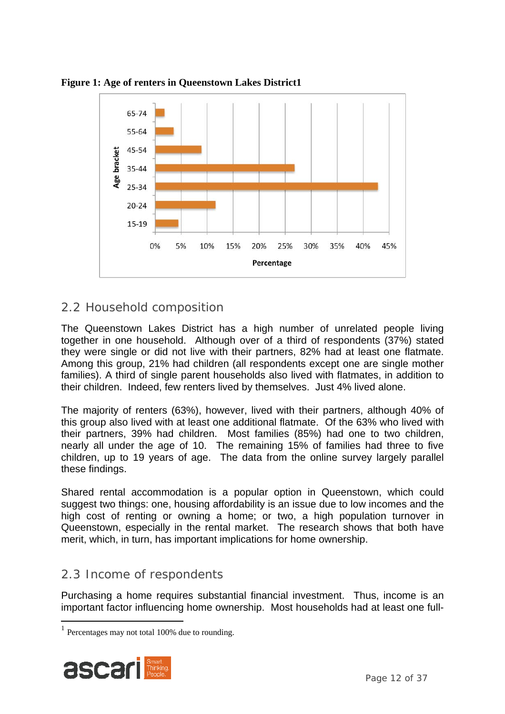

**Figure 1: Age of renters in Queenstown Lakes District1** 

## 2.2 Household composition

The Queenstown Lakes District has a high number of unrelated people living together in one household. Although over of a third of respondents (37%) stated they were single or did not live with their partners, 82% had at least one flatmate. Among this group, 21% had children (all respondents except one are single mother families). A third of single parent households also lived with flatmates, in addition to their children. Indeed, few renters lived by themselves. Just 4% lived alone.

The majority of renters (63%), however, lived with their partners, although 40% of this group also lived with at least one additional flatmate. Of the 63% who lived with their partners, 39% had children. Most families (85%) had one to two children, nearly all under the age of 10. The remaining 15% of families had three to five children, up to 19 years of age. The data from the online survey largely parallel these findings.

Shared rental accommodation is a popular option in Queenstown, which could suggest two things: one, housing affordability is an issue due to low incomes and the high cost of renting or owning a home; or two, a high population turnover in Queenstown, especially in the rental market. The research shows that both have merit, which, in turn, has important implications for home ownership.

## 2.3 Income of respondents

Purchasing a home requires substantial financial investment. Thus, income is an important factor influencing home ownership. Most households had at least one full-

 $<sup>1</sup>$  Percentages may not total 100% due to rounding.</sup>

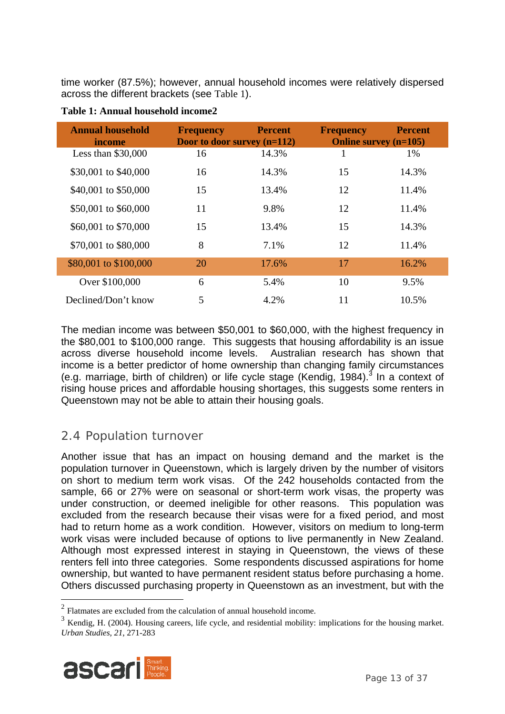time worker (87.5%); however, annual household incomes were relatively dispersed across the different brackets (see Table 1).

| <b>Annual household</b><br>income | <b>Percent</b><br><b>Frequency</b><br>Door to door survey $(n=112)$ |       | <b>Frequency</b><br><b>Online survey (n=105)</b> | <b>Percent</b> |
|-----------------------------------|---------------------------------------------------------------------|-------|--------------------------------------------------|----------------|
| Less than $$30,000$               | 16                                                                  | 14.3% | 1                                                | 1%             |
| \$30,001 to \$40,000              | 16                                                                  | 14.3% | 15                                               | 14.3%          |
| \$40,001 to \$50,000              | 15                                                                  | 13.4% | 12                                               | 11.4%          |
| \$50,001 to \$60,000              | 11                                                                  | 9.8%  | 12                                               | 11.4%          |
| \$60,001 to \$70,000              | 15                                                                  | 13.4% | 15                                               | 14.3%          |
| \$70,001 to \$80,000              | 8                                                                   | 7.1%  | 12                                               | 11.4%          |
| \$80,001 to \$100,000             | 20                                                                  | 17.6% | 17                                               | 16.2%          |
| Over \$100,000                    | 6                                                                   | 5.4%  | 10                                               | 9.5%           |
| Declined/Don't know               | 5                                                                   | 4.2%  | 11                                               | 10.5%          |

**Table 1: Annual household income2** 

The median income was between \$50,001 to \$60,000, with the highest frequency in the \$80,001 to \$100,000 range. This suggests that housing affordability is an issue across diverse household income levels. Australian research has shown that income is a better predictor of home ownership than changing family circumstances (e.g. marriage, birth of children) or life cycle stage (Kendig, 1984).<sup>3</sup> In a context of rising house prices and affordable housing shortages, this suggests some renters in Queenstown may not be able to attain their housing goals.

## 2.4 Population turnover

Another issue that has an impact on housing demand and the market is the population turnover in Queenstown, which is largely driven by the number of visitors on short to medium term work visas. Of the 242 households contacted from the sample, 66 or 27% were on seasonal or short-term work visas, the property was under construction, or deemed ineligible for other reasons. This population was excluded from the research because their visas were for a fixed period, and most had to return home as a work condition. However, visitors on medium to long-term work visas were included because of options to live permanently in New Zealand. Although most expressed interest in staying in Queenstown, the views of these renters fell into three categories. Some respondents discussed aspirations for home ownership, but wanted to have permanent resident status before purchasing a home. Others discussed purchasing property in Queenstown as an investment, but with the

<sup>3</sup> Kendig, H. (2004). Housing careers, life cycle, and residential mobility: implications for the housing market. *Urban Studies, 21*, 271-283



<sup>&</sup>lt;sup>2</sup> Flatmates are excluded from the calculation of annual household income.<br> $\frac{3 \text{ Kordic}}{2004}$  Housing general life and a regidential mobility.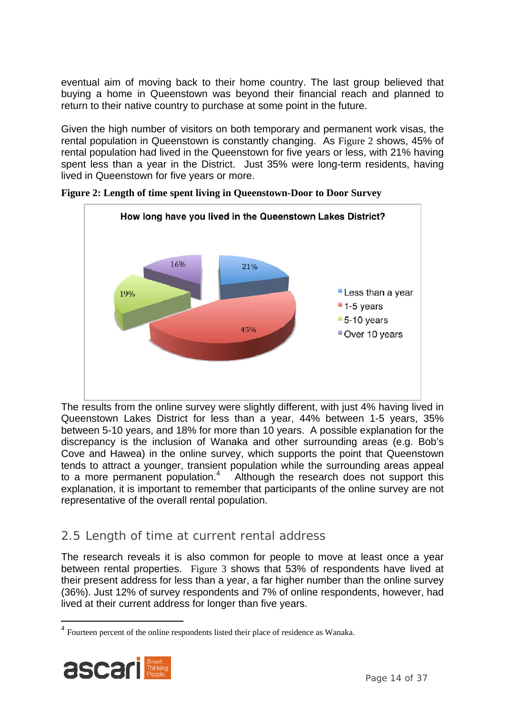eventual aim of moving back to their home country. The last group believed that buying a home in Queenstown was beyond their financial reach and planned to return to their native country to purchase at some point in the future.

Given the high number of visitors on both temporary and permanent work visas, the rental population in Queenstown is constantly changing. As Figure 2 shows, 45% of rental population had lived in the Queenstown for five years or less, with 21% having spent less than a year in the District. Just 35% were long-term residents, having lived in Queenstown for five years or more.



**Figure 2: Length of time spent living in Queenstown-Door to Door Survey** 

The results from the online survey were slightly different, with just 4% having lived in Queenstown Lakes District for less than a year, 44% between 1-5 years, 35% between 5-10 years, and 18% for more than 10 years. A possible explanation for the discrepancy is the inclusion of Wanaka and other surrounding areas (e.g. Bob's Cove and Hawea) in the online survey, which supports the point that Queenstown tends to attract a younger, transient population while the surrounding areas appeal to a more permanent population.<sup>4</sup> Although the research does not support this explanation, it is important to remember that participants of the online survey are not representative of the overall rental population.

## 2.5 Length of time at current rental address

The research reveals it is also common for people to move at least once a year between rental properties. Figure 3 shows that 53% of respondents have lived at their present address for less than a year, a far higher number than the online survey (36%). Just 12% of survey respondents and 7% of online respondents, however, had lived at their current address for longer than five years.

<sup>&</sup>lt;sup>4</sup> Fourteen percent of the online respondents listed their place of residence as Wanaka.

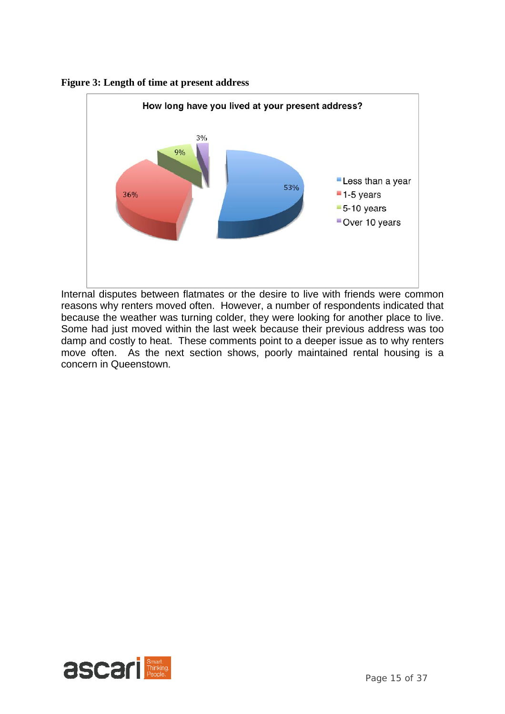



Internal disputes between flatmates or the desire to live with friends were common reasons why renters moved often. However, a number of respondents indicated that because the weather was turning colder, they were looking for another place to live. Some had just moved within the last week because their previous address was too damp and costly to heat. These comments point to a deeper issue as to why renters move often. As the next section shows, poorly maintained rental housing is a concern in Queenstown.

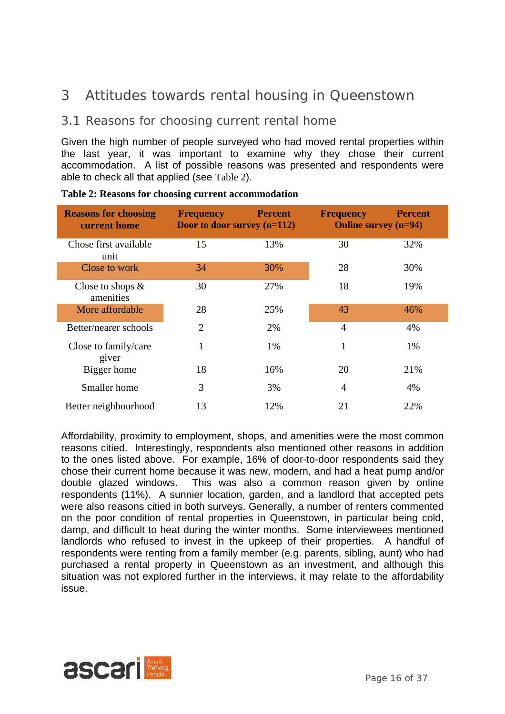## 3 Attitudes towards rental housing in Queenstown

## 3.1 Reasons for choosing current rental home

Given the high number of people surveyed who had moved rental properties within the last year, it was important to examine why they chose their current accommodation. A list of possible reasons was presented and respondents were able to check all that applied (see Table 2).

| <b>Reasons for choosing</b><br>current home | <b>Frequency</b><br>Door to door survey $(n=112)$ | <b>Percent</b> | <b>Frequency</b><br><b>Online survey (n=94)</b> | <b>Percent</b> |
|---------------------------------------------|---------------------------------------------------|----------------|-------------------------------------------------|----------------|
| Chose first available<br>unit               | 15                                                | 13%            | 30                                              | 32%            |
| Close to work                               | 34                                                | 30%            | 28                                              | 30%            |
| Close to shops $\&$<br>amenities            | 30                                                | 27%            | 18                                              | 19%            |
| More affordable                             | 28                                                | 25%            | 43                                              | 46%            |
| Better/nearer schools                       | $\overline{2}$                                    | 2%             | $\overline{4}$                                  | 4%             |
| Close to family/care<br>giver               | 1                                                 | 1%             | 1                                               | 1%             |
| Bigger home                                 | 18                                                | 16%            | 20                                              | 21%            |
| Smaller home                                | 3                                                 | 3%             | $\overline{4}$                                  | 4%             |
| Better neighbourhood                        | 13                                                | 12%            | 21                                              | 22%            |

**Table 2: Reasons for choosing current accommodation** 

Affordability, proximity to employment, shops, and amenities were the most common reasons citied. Interestingly, respondents also mentioned other reasons in addition to the ones listed above. For example, 16% of door-to-door respondents said they chose their current home because it was new, modern, and had a heat pump and/or double glazed windows. This was also a common reason given by online respondents (11%). A sunnier location, garden, and a landlord that accepted pets were also reasons citied in both surveys. Generally, a number of renters commented on the poor condition of rental properties in Queenstown, in particular being cold, damp, and difficult to heat during the winter months. Some interviewees mentioned landlords who refused to invest in the upkeep of their properties. A handful of respondents were renting from a family member (e.g. parents, sibling, aunt) who had purchased a rental property in Queenstown as an investment, and although this situation was not explored further in the interviews, it may relate to the affordability issue.

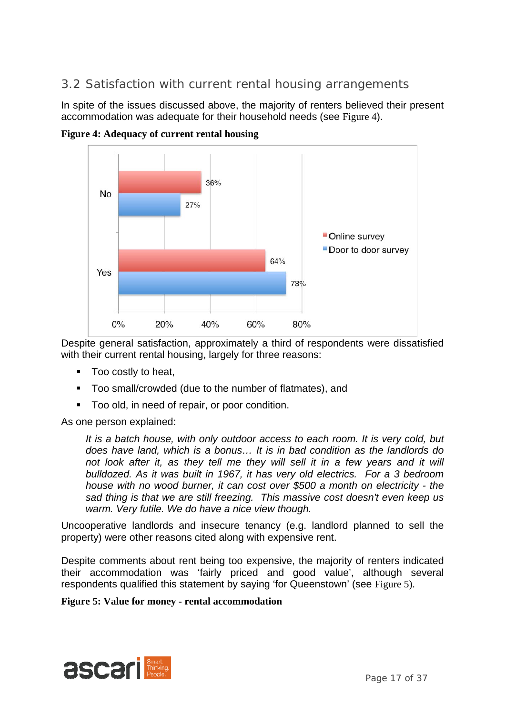## 3.2 Satisfaction with current rental housing arrangements

In spite of the issues discussed above, the majority of renters believed their present accommodation was adequate for their household needs (see Figure 4).



**Figure 4: Adequacy of current rental housing** 

Despite general satisfaction, approximately a third of respondents were dissatisfied with their current rental housing, largely for three reasons:

- **Too costly to heat,**
- Too small/crowded (due to the number of flatmates), and
- **Too old, in need of repair, or poor condition.**

As one person explained:

*It is a batch house, with only outdoor access to each room. It is very cold, but does have land, which is a bonus… It is in bad condition as the landlords do*  not look after it, as they tell me they will sell it in a few years and it will *bulldozed. As it was built in 1967, it has very old electrics. For a 3 bedroom house with no wood burner, it can cost over \$500 a month on electricity - the sad thing is that we are still freezing. This massive cost doesn't even keep us warm. Very futile. We do have a nice view though.* 

Uncooperative landlords and insecure tenancy (e.g. landlord planned to sell the property) were other reasons cited along with expensive rent.

Despite comments about rent being too expensive, the majority of renters indicated their accommodation was 'fairly priced and good value', although several respondents qualified this statement by saying 'for Queenstown' (see Figure 5).

#### **Figure 5: Value for money - rental accommodation**

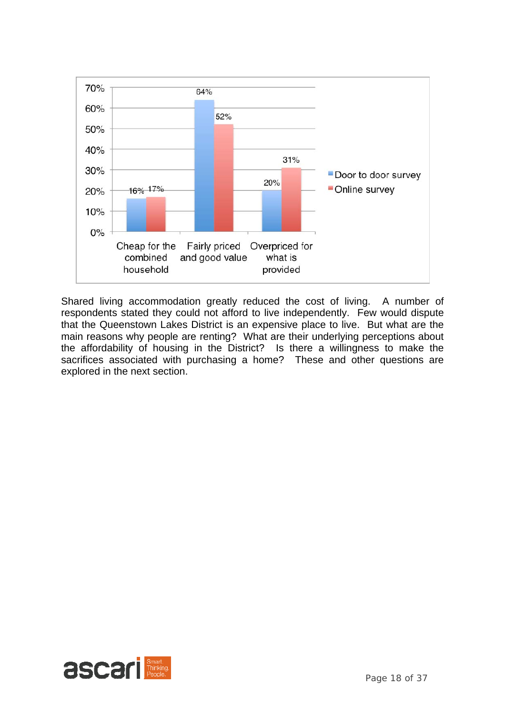

Shared living accommodation greatly reduced the cost of living. A number of respondents stated they could not afford to live independently. Few would dispute that the Queenstown Lakes District is an expensive place to live. But what are the main reasons why people are renting? What are their underlying perceptions about the affordability of housing in the District? Is there a willingness to make the sacrifices associated with purchasing a home? These and other questions are explored in the next section.

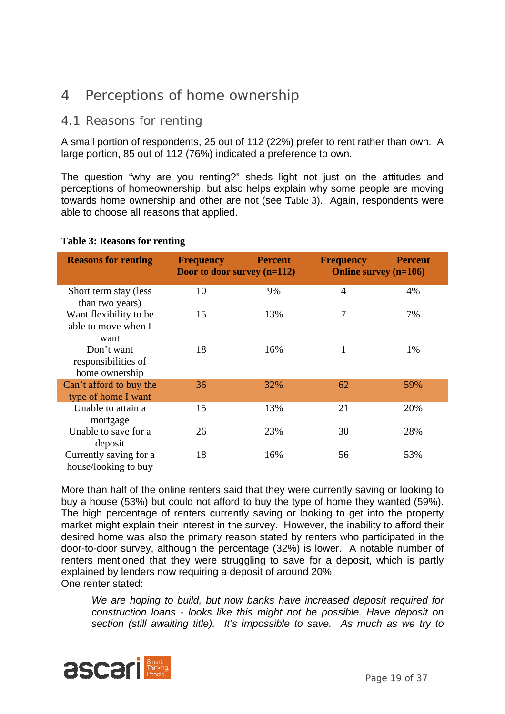## 4 Perceptions of home ownership

### 4.1 Reasons for renting

A small portion of respondents, 25 out of 112 (22%) prefer to rent rather than own. A large portion, 85 out of 112 (76%) indicated a preference to own.

The question "why are you renting?" sheds light not just on the attitudes and perceptions of homeownership, but also helps explain why some people are moving towards home ownership and other are not (see Table 3). Again, respondents were able to choose all reasons that applied.

| <b>Reasons for renting</b>                            | <b>Frequency</b><br>Door to door survey $(n=112)$ | <b>Percent</b> | <b>Frequency</b><br><b>Online survey (n=106)</b> | <b>Percent</b> |
|-------------------------------------------------------|---------------------------------------------------|----------------|--------------------------------------------------|----------------|
| Short term stay (less<br>than two years)              | 10                                                | 9%             | $\overline{4}$                                   | 4%             |
| Want flexibility to be<br>able to move when I<br>want | 15                                                | 13%            | 7                                                | 7%             |
| Don't want<br>responsibilities of<br>home ownership   | 18                                                | 16%            | 1                                                | 1%             |
| Can't afford to buy the<br>type of home I want        | 36                                                | 32%            | 62                                               | 59%            |
| Unable to attain a<br>mortgage                        | 15                                                | 13%            | 21                                               | 20%            |
| Unable to save for a<br>deposit                       | 26                                                | 23%            | 30                                               | 28%            |
| Currently saving for a<br>house/looking to buy        | 18                                                | 16%            | 56                                               | 53%            |

### **Table 3: Reasons for renting**

More than half of the online renters said that they were currently saving or looking to buy a house (53%) but could not afford to buy the type of home they wanted (59%). The high percentage of renters currently saving or looking to get into the property market might explain their interest in the survey. However, the inability to afford their desired home was also the primary reason stated by renters who participated in the door-to-door survey, although the percentage (32%) is lower. A notable number of renters mentioned that they were struggling to save for a deposit, which is partly explained by lenders now requiring a deposit of around 20%. One renter stated:

*We are hoping to build, but now banks have increased deposit required for construction loans - looks like this might not be possible. Have deposit on section (still awaiting title). It's impossible to save. As much as we try to* 

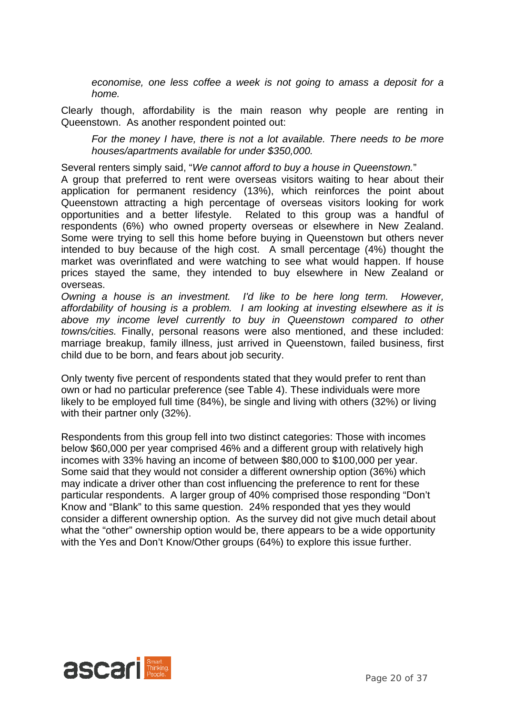*economise, one less coffee a week is not going to amass a deposit for a home.* 

Clearly though, affordability is the main reason why people are renting in Queenstown. As another respondent pointed out:

*For the money I have, there is not a lot available. There needs to be more houses/apartments available for under \$350,000.* 

Several renters simply said, "*We cannot afford to buy a house in Queenstown.*"

A group that preferred to rent were overseas visitors waiting to hear about their application for permanent residency (13%), which reinforces the point about Queenstown attracting a high percentage of overseas visitors looking for work opportunities and a better lifestyle. Related to this group was a handful of respondents (6%) who owned property overseas or elsewhere in New Zealand. Some were trying to sell this home before buying in Queenstown but others never intended to buy because of the high cost. A small percentage (4%) thought the market was overinflated and were watching to see what would happen. If house prices stayed the same, they intended to buy elsewhere in New Zealand or overseas.

*Owning a house is an investment. I'd like to be here long term. However, affordability of housing is a problem. I am looking at investing elsewhere as it is above my income level currently to buy in Queenstown compared to other towns/cities.* Finally, personal reasons were also mentioned, and these included: marriage breakup, family illness, just arrived in Queenstown, failed business, first child due to be born, and fears about job security.

Only twenty five percent of respondents stated that they would prefer to rent than own or had no particular preference (see Table 4). These individuals were more likely to be employed full time (84%), be single and living with others (32%) or living with their partner only (32%).

Respondents from this group fell into two distinct categories: Those with incomes below \$60,000 per year comprised 46% and a different group with relatively high incomes with 33% having an income of between \$80,000 to \$100,000 per year. Some said that they would not consider a different ownership option (36%) which may indicate a driver other than cost influencing the preference to rent for these particular respondents. A larger group of 40% comprised those responding "Don't Know and "Blank" to this same question. 24% responded that yes they would consider a different ownership option. As the survey did not give much detail about what the "other" ownership option would be, there appears to be a wide opportunity with the Yes and Don't Know/Other groups (64%) to explore this issue further.

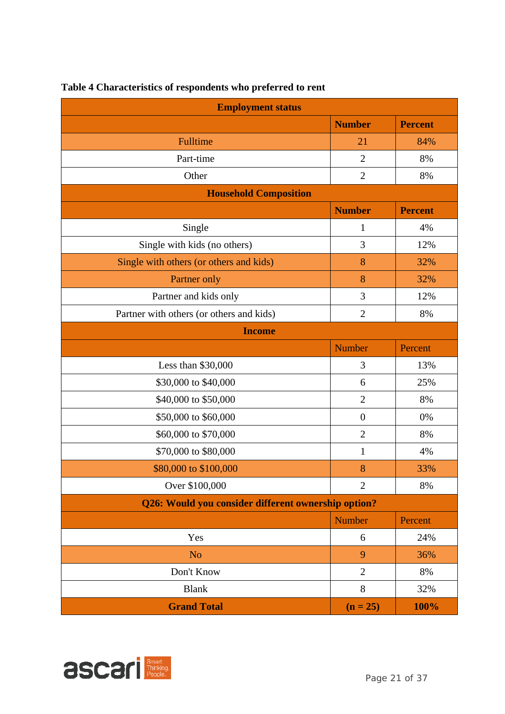| <b>Employment status</b>                            |                |                |  |  |
|-----------------------------------------------------|----------------|----------------|--|--|
|                                                     | <b>Number</b>  | <b>Percent</b> |  |  |
| Fulltime                                            | 21             | 84%            |  |  |
| Part-time                                           | $\overline{2}$ | 8%             |  |  |
| Other                                               | $\overline{2}$ | 8%             |  |  |
| <b>Household Composition</b>                        |                |                |  |  |
|                                                     | <b>Number</b>  | <b>Percent</b> |  |  |
| Single                                              | $\mathbf{1}$   | 4%             |  |  |
| Single with kids (no others)                        | 3              | 12%            |  |  |
| Single with others (or others and kids)             | 8              | 32%            |  |  |
| Partner only                                        | 8              | 32%            |  |  |
| Partner and kids only                               | 3              | 12%            |  |  |
| Partner with others (or others and kids)            | $\overline{2}$ | 8%             |  |  |
| <b>Income</b>                                       |                |                |  |  |
|                                                     | <b>Number</b>  | Percent        |  |  |
| Less than \$30,000                                  | 3              | 13%            |  |  |
| \$30,000 to \$40,000                                | 6              | 25%            |  |  |
| \$40,000 to \$50,000                                | $\overline{2}$ | 8%             |  |  |
| \$50,000 to \$60,000                                | $\overline{0}$ | 0%             |  |  |
| \$60,000 to \$70,000                                | $\overline{2}$ | 8%             |  |  |
| \$70,000 to \$80,000                                | $\mathbf{1}$   | 4%             |  |  |
| \$80,000 to \$100,000                               | 8              | 33%            |  |  |
| Over \$100,000                                      | $\overline{2}$ | 8%             |  |  |
| Q26: Would you consider different ownership option? |                |                |  |  |
|                                                     | <b>Number</b>  | Percent        |  |  |
| Yes                                                 | 6              | 24%            |  |  |
| N <sub>o</sub>                                      | 9              | 36%            |  |  |
| Don't Know                                          | $\overline{2}$ | 8%             |  |  |
| <b>Blank</b>                                        | 8              | 32%            |  |  |
| <b>Grand Total</b>                                  | $(n = 25)$     | 100%           |  |  |

## **Table 4 Characteristics of respondents who preferred to rent**

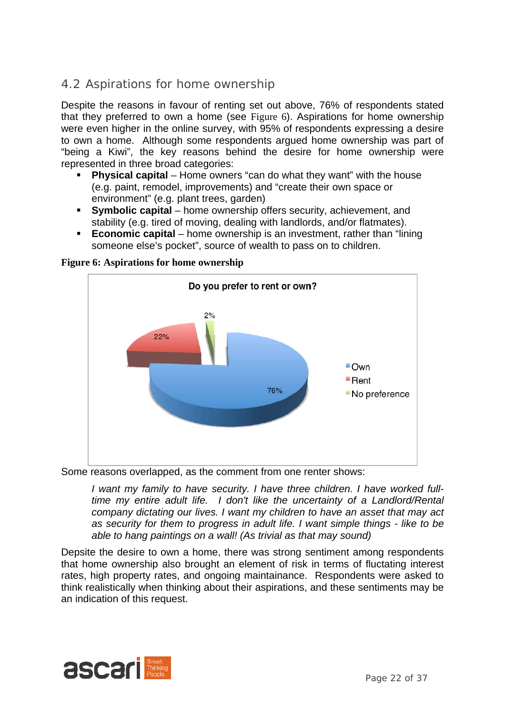## 4.2 Aspirations for home ownership

Despite the reasons in favour of renting set out above, 76% of respondents stated that they preferred to own a home (see Figure 6). Aspirations for home ownership were even higher in the online survey, with 95% of respondents expressing a desire to own a home. Although some respondents argued home ownership was part of "being a Kiwi", the key reasons behind the desire for home ownership were represented in three broad categories:

- **Physical capital** Home owners "can do what they want" with the house (e.g. paint, remodel, improvements) and "create their own space or environment" (e.g. plant trees, garden)
- **Symbolic capital** home ownership offers security, achievement, and stability (e.g. tired of moving, dealing with landlords, and/or flatmates).
- **Economic capital** home ownership is an investment, rather than "lining" someone else's pocket", source of wealth to pass on to children.



**Figure 6: Aspirations for home ownership** 

Some reasons overlapped, as the comment from one renter shows:

*I want my family to have security. I have three children. I have worked fulltime my entire adult life. I don't like the uncertainty of a Landlord/Rental company dictating our lives. I want my children to have an asset that may act as security for them to progress in adult life. I want simple things - like to be able to hang paintings on a wall! (As trivial as that may sound)* 

Depsite the desire to own a home, there was strong sentiment among respondents that home ownership also brought an element of risk in terms of fluctating interest rates, high property rates, and ongoing maintainance. Respondents were asked to think realistically when thinking about their aspirations, and these sentiments may be an indication of this request.

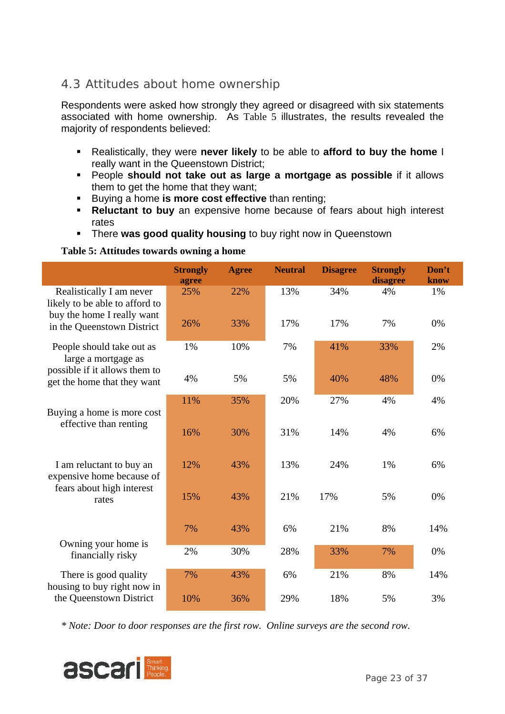## 4.3 Attitudes about home ownership

Respondents were asked how strongly they agreed or disagreed with six statements associated with home ownership. As Table 5 illustrates, the results revealed the majority of respondents believed:

- Realistically, they were **never likely** to be able to **afford to buy the home** I really want in the Queenstown District;
- People **should not take out as large a mortgage as possible** if it allows them to get the home that they want;
- **Buying a home is more cost effective** than renting;
- **Reluctant to buy** an expensive home because of fears about high interest rates
- **F** There **was good quality housing** to buy right now in Queenstown

#### **Table 5: Attitudes towards owning a home**

|                                                                                          | <b>Strongly</b><br>agree | <b>Agree</b> | <b>Neutral</b> | <b>Disagree</b> | <b>Strongly</b><br>disagree | Don't<br>know |
|------------------------------------------------------------------------------------------|--------------------------|--------------|----------------|-----------------|-----------------------------|---------------|
| Realistically I am never<br>likely to be able to afford to<br>buy the home I really want | 25%                      | 22%          | 13%            | 34%             | 4%                          | 1%            |
| in the Queenstown District                                                               | 26%                      | 33%          | 17%            | 17%             | 7%                          | 0%            |
| People should take out as<br>large a mortgage as<br>possible if it allows them to        | 1%                       | 10%          | 7%             | 41%             | 33%                         | 2%            |
| get the home that they want                                                              | 4%                       | 5%           | 5%             | 40%             | 48%                         | 0%            |
| Buying a home is more cost<br>effective than renting                                     | 11%                      | 35%          | 20%            | 27%             | 4%                          | 4%            |
|                                                                                          | 16%                      | 30%          | 31%            | 14%             | 4%                          | 6%            |
| I am reluctant to buy an<br>expensive home because of                                    | 12%                      | 43%          | 13%            | 24%             | 1%                          | 6%            |
| fears about high interest<br>rates                                                       | 15%                      | 43%          | 21%            | 17%             | 5%                          | 0%            |
|                                                                                          | 7%                       | 43%          | 6%             | 21%             | 8%                          | 14%           |
| Owning your home is<br>financially risky                                                 | 2%                       | 30%          | 28%            | 33%             | 7%                          | 0%            |
| There is good quality<br>housing to buy right now in                                     | 7%                       | 43%          | 6%             | 21%             | 8%                          | 14%           |
| the Queenstown District                                                                  | 10%                      | 36%          | 29%            | 18%             | 5%                          | 3%            |

*\* Note: Door to door responses are the first row. Online surveys are the second row.* 

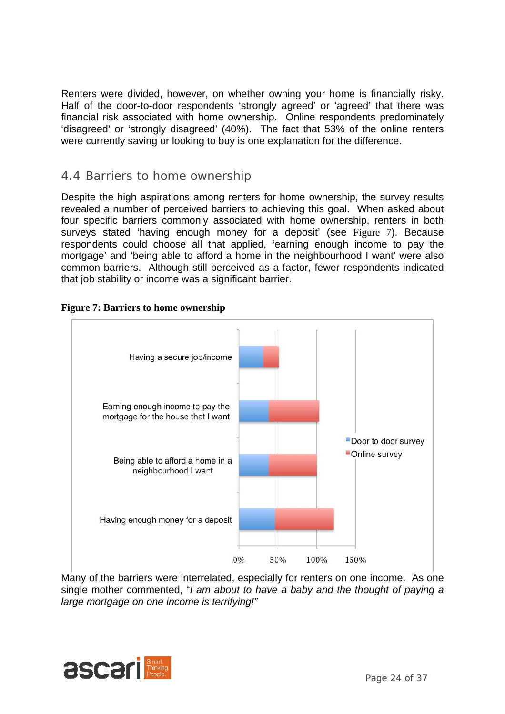Renters were divided, however, on whether owning your home is financially risky. Half of the door-to-door respondents 'strongly agreed' or 'agreed' that there was financial risk associated with home ownership. Online respondents predominately 'disagreed' or 'strongly disagreed' (40%). The fact that 53% of the online renters were currently saving or looking to buy is one explanation for the difference.

### 4.4 Barriers to home ownership

Despite the high aspirations among renters for home ownership, the survey results revealed a number of perceived barriers to achieving this goal. When asked about four specific barriers commonly associated with home ownership, renters in both surveys stated 'having enough money for a deposit' (see Figure 7). Because respondents could choose all that applied, 'earning enough income to pay the mortgage' and 'being able to afford a home in the neighbourhood I want' were also common barriers. Although still perceived as a factor, fewer respondents indicated that job stability or income was a significant barrier.



#### **Figure 7: Barriers to home ownership**

Many of the barriers were interrelated, especially for renters on one income. As one single mother commented, "*I am about to have a baby and the thought of paying a large mortgage on one income is terrifying!"* 

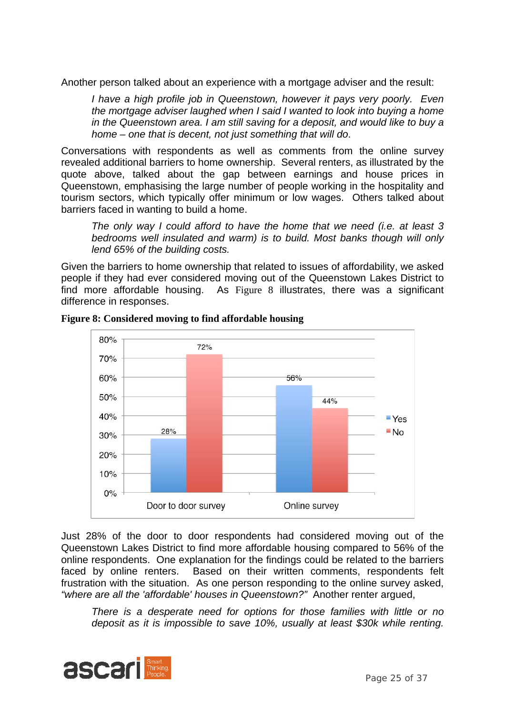Another person talked about an experience with a mortgage adviser and the result:

*I have a high profile job in Queenstown, however it pays very poorly. Even the mortgage adviser laughed when I said I wanted to look into buying a home in the Queenstown area. I am still saving for a deposit, and would like to buy a home – one that is decent, not just something that will do*.

Conversations with respondents as well as comments from the online survey revealed additional barriers to home ownership. Several renters, as illustrated by the quote above, talked about the gap between earnings and house prices in Queenstown, emphasising the large number of people working in the hospitality and tourism sectors, which typically offer minimum or low wages. Others talked about barriers faced in wanting to build a home.

*The only way I could afford to have the home that we need (i.e. at least 3 bedrooms well insulated and warm) is to build. Most banks though will only lend 65% of the building costs.* 

Given the barriers to home ownership that related to issues of affordability, we asked people if they had ever considered moving out of the Queenstown Lakes District to find more affordable housing. As Figure 8 illustrates, there was a significant difference in responses.



**Figure 8: Considered moving to find affordable housing** 

Just 28% of the door to door respondents had considered moving out of the Queenstown Lakes District to find more affordable housing compared to 56% of the online respondents. One explanation for the findings could be related to the barriers faced by online renters. Based on their written comments, respondents felt frustration with the situation. As one person responding to the online survey asked, *"where are all the 'affordable' houses in Queenstown?"* Another renter argued,

*There is a desperate need for options for those families with little or no deposit as it is impossible to save 10%, usually at least \$30k while renting.* 

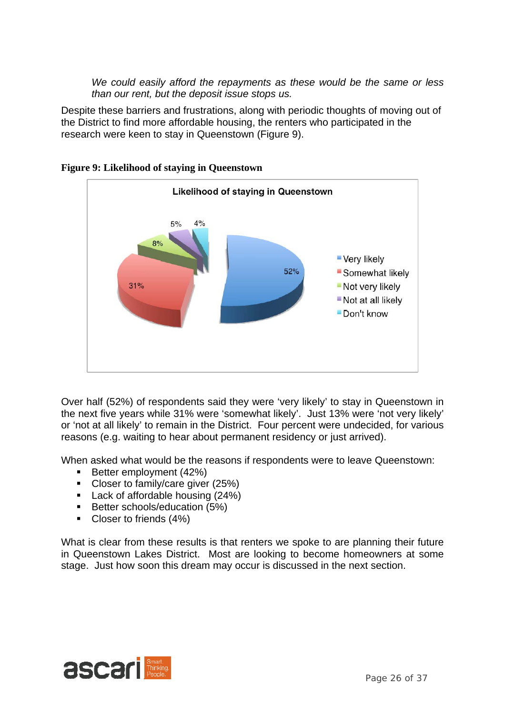*We could easily afford the repayments as these would be the same or less than our rent, but the deposit issue stops us.* 

Despite these barriers and frustrations, along with periodic thoughts of moving out of the District to find more affordable housing, the renters who participated in the research were keen to stay in Queenstown (Figure 9).



### **Figure 9: Likelihood of staying in Queenstown**

Over half (52%) of respondents said they were 'very likely' to stay in Queenstown in the next five years while 31% were 'somewhat likely'. Just 13% were 'not very likely' or 'not at all likely' to remain in the District. Four percent were undecided, for various reasons (e.g. waiting to hear about permanent residency or just arrived).

When asked what would be the reasons if respondents were to leave Queenstown:

- Better employment (42%)
- Closer to family/care giver (25%)
- Lack of affordable housing (24%)
- Better schools/education (5%)
- Closer to friends (4%)

What is clear from these results is that renters we spoke to are planning their future in Queenstown Lakes District. Most are looking to become homeowners at some stage. Just how soon this dream may occur is discussed in the next section.

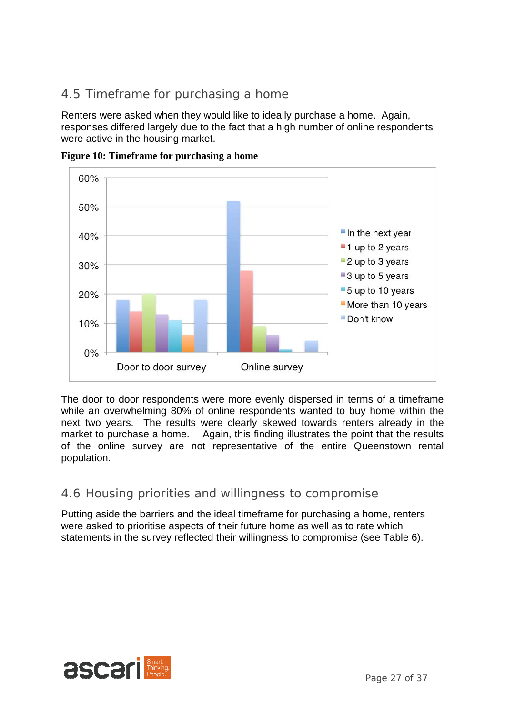## 4.5 Timeframe for purchasing a home

Renters were asked when they would like to ideally purchase a home. Again, responses differed largely due to the fact that a high number of online respondents were active in the housing market.



**Figure 10: Timeframe for purchasing a home** 

The door to door respondents were more evenly dispersed in terms of a timeframe while an overwhelming 80% of online respondents wanted to buy home within the next two years. The results were clearly skewed towards renters already in the market to purchase a home. Again, this finding illustrates the point that the results of the online survey are not representative of the entire Queenstown rental population.

## 4.6 Housing priorities and willingness to compromise

Putting aside the barriers and the ideal timeframe for purchasing a home, renters were asked to prioritise aspects of their future home as well as to rate which statements in the survey reflected their willingness to compromise (see Table 6).

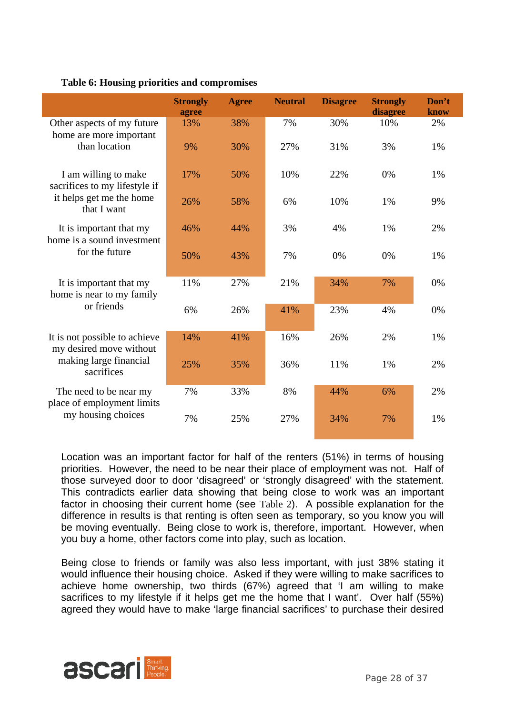|                                                          | <b>Strongly</b><br>agree | <b>Agree</b> | <b>Neutral</b> | <b>Disagree</b> | <b>Strongly</b><br>disagree | Don't<br>know |
|----------------------------------------------------------|--------------------------|--------------|----------------|-----------------|-----------------------------|---------------|
| Other aspects of my future                               | 13%                      | 38%          | 7%             | 30%             | 10%                         | 2%            |
| home are more important<br>than location                 | 9%                       | 30%          | 27%            | 31%             | 3%                          | 1%            |
| I am willing to make<br>sacrifices to my lifestyle if    | 17%                      | 50%          | 10%            | 22%             | 0%                          | 1%            |
| it helps get me the home<br>that I want                  | 26%                      | 58%          | 6%             | 10%             | 1%                          | 9%            |
| It is important that my<br>home is a sound investment    | 46%                      | 44%          | 3%             | 4%              | 1%                          | 2%            |
| for the future                                           | 50%                      | 43%          | 7%             | 0%              | 0%                          | 1%            |
| It is important that my<br>home is near to my family     | 11%                      | 27%          | 21%            | 34%             | 7%                          | 0%            |
| or friends                                               | 6%                       | 26%          | 41%            | 23%             | 4%                          | 0%            |
| It is not possible to achieve<br>my desired move without | 14%                      | 41%          | 16%            | 26%             | 2%                          | 1%            |
| making large financial<br>sacrifices                     | 25%                      | 35%          | 36%            | 11%             | 1%                          | 2%            |
| The need to be near my<br>place of employment limits     | 7%                       | 33%          | 8%             | 44%             | 6%                          | 2%            |
| my housing choices                                       | 7%                       | 25%          | 27%            | 34%             | 7%                          | 1%            |

### **Table 6: Housing priorities and compromises**

Location was an important factor for half of the renters (51%) in terms of housing priorities. However, the need to be near their place of employment was not. Half of those surveyed door to door 'disagreed' or 'strongly disagreed' with the statement. This contradicts earlier data showing that being close to work was an important factor in choosing their current home (see Table 2). A possible explanation for the difference in results is that renting is often seen as temporary, so you know you will be moving eventually. Being close to work is, therefore, important. However, when you buy a home, other factors come into play, such as location.

Being close to friends or family was also less important, with just 38% stating it would influence their housing choice. Asked if they were willing to make sacrifices to achieve home ownership, two thirds (67%) agreed that 'I am willing to make sacrifices to my lifestyle if it helps get me the home that I want'. Over half (55%) agreed they would have to make 'large financial sacrifices' to purchase their desired

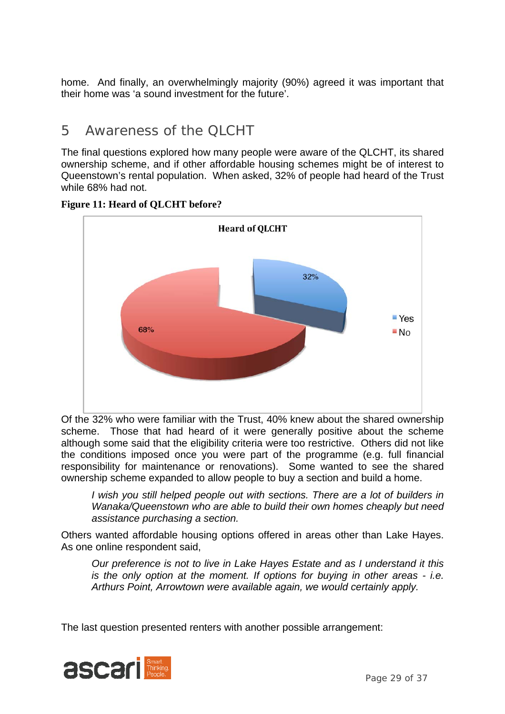home. And finally, an overwhelmingly majority (90%) agreed it was important that their home was 'a sound investment for the future'.

## 5 Awareness of the QLCHT

The final questions explored how many people were aware of the QLCHT, its shared ownership scheme, and if other affordable housing schemes might be of interest to Queenstown's rental population. When asked, 32% of people had heard of the Trust while 68% had not.



**Figure 11: Heard of QLCHT before?** 

Of the 32% who were familiar with the Trust, 40% knew about the shared ownership scheme. Those that had heard of it were generally positive about the scheme although some said that the eligibility criteria were too restrictive. Others did not like the conditions imposed once you were part of the programme (e.g. full financial responsibility for maintenance or renovations). Some wanted to see the shared ownership scheme expanded to allow people to buy a section and build a home.

*I* wish you still helped people out with sections. There are a lot of builders in *Wanaka/Queenstown who are able to build their own homes cheaply but need assistance purchasing a section.* 

Others wanted affordable housing options offered in areas other than Lake Hayes. As one online respondent said,

*Our preference is not to live in Lake Hayes Estate and as I understand it this is the only option at the moment. If options for buying in other areas - i.e. Arthurs Point, Arrowtown were available again, we would certainly apply.* 

The last question presented renters with another possible arrangement:

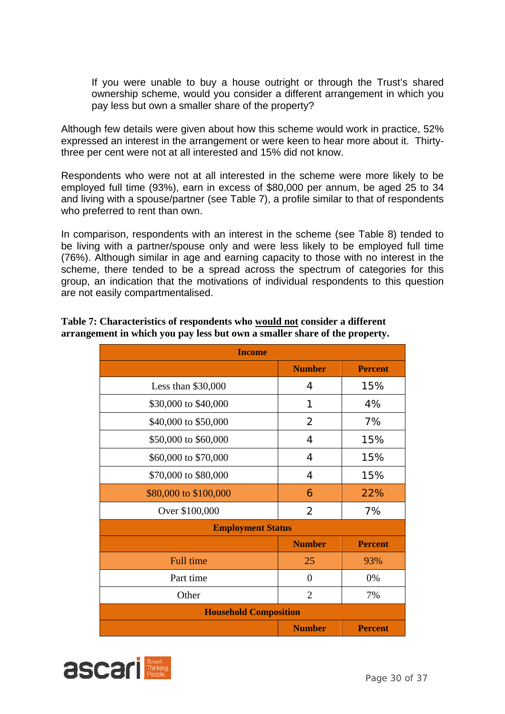If you were unable to buy a house outright or through the Trust's shared ownership scheme, would you consider a different arrangement in which you pay less but own a smaller share of the property?

Although few details were given about how this scheme would work in practice, 52% expressed an interest in the arrangement or were keen to hear more about it. Thirtythree per cent were not at all interested and 15% did not know.

Respondents who were not at all interested in the scheme were more likely to be employed full time (93%), earn in excess of \$80,000 per annum, be aged 25 to 34 and living with a spouse/partner (see Table 7), a profile similar to that of respondents who preferred to rent than own.

In comparison, respondents with an interest in the scheme (see Table 8) tended to be living with a partner/spouse only and were less likely to be employed full time (76%). Although similar in age and earning capacity to those with no interest in the scheme, there tended to be a spread across the spectrum of categories for this group, an indication that the motivations of individual respondents to this question are not easily compartmentalised.

| <b>Income</b>                |                |                |  |  |  |
|------------------------------|----------------|----------------|--|--|--|
|                              | <b>Number</b>  | <b>Percent</b> |  |  |  |
| Less than \$30,000           | 4              | 15%            |  |  |  |
| \$30,000 to \$40,000         | 1              | 4%             |  |  |  |
| \$40,000 to \$50,000         | $\overline{2}$ | 7%             |  |  |  |
| \$50,000 to \$60,000         | 4              | 15%            |  |  |  |
| \$60,000 to \$70,000         | 4              | 15%            |  |  |  |
| \$70,000 to \$80,000         | 4              | 15%            |  |  |  |
| \$80,000 to \$100,000        | 6              | 22%            |  |  |  |
| Over \$100,000               | 2              | 7%             |  |  |  |
| <b>Employment Status</b>     |                |                |  |  |  |
|                              | <b>Number</b>  | <b>Percent</b> |  |  |  |
| <b>Full time</b>             | 25             | 93%            |  |  |  |
| Part time                    | $\theta$       | 0%             |  |  |  |
| Other                        | $\overline{2}$ | 7%             |  |  |  |
| <b>Household Composition</b> |                |                |  |  |  |
|                              | <b>Number</b>  | <b>Percent</b> |  |  |  |

**Table 7: Characteristics of respondents who would not consider a different arrangement in which you pay less but own a smaller share of the property.** 

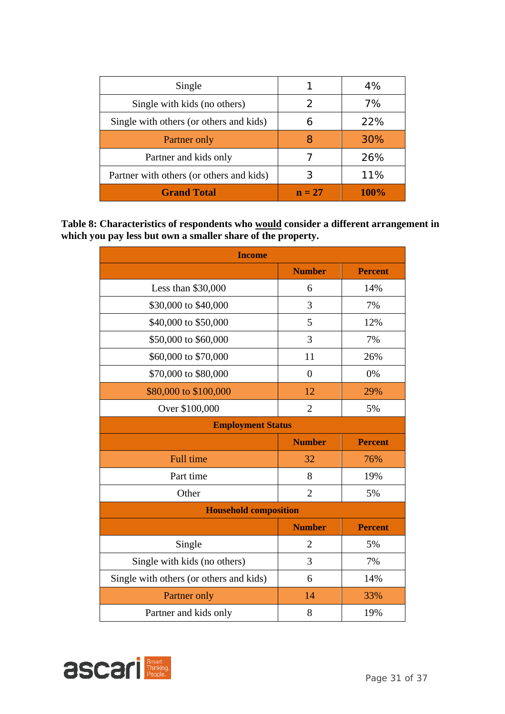| Single                                   |          | 4%   |
|------------------------------------------|----------|------|
| Single with kids (no others)             |          | 7%   |
| Single with others (or others and kids)  |          | 22%  |
| Partner only                             |          | 30%  |
| Partner and kids only                    |          | 26%  |
| Partner with others (or others and kids) |          | 11%  |
| <b>Grand Total</b>                       | $n = 27$ | 100% |

**Table 8: Characteristics of respondents who would consider a different arrangement in which you pay less but own a smaller share of the property.** 

| <b>Income</b>                           |                |                |  |  |
|-----------------------------------------|----------------|----------------|--|--|
|                                         | <b>Number</b>  | <b>Percent</b> |  |  |
| Less than \$30,000                      | 6              | 14%            |  |  |
| \$30,000 to \$40,000                    | 3              | 7%             |  |  |
| \$40,000 to \$50,000                    | 5              | 12%            |  |  |
| \$50,000 to \$60,000                    | 3              | 7%             |  |  |
| \$60,000 to \$70,000                    | 11             | 26%            |  |  |
| \$70,000 to \$80,000                    | $\theta$       | 0%             |  |  |
| \$80,000 to \$100,000                   | 12             | 29%            |  |  |
| Over \$100,000                          | $\overline{2}$ | 5%             |  |  |
| <b>Employment Status</b>                |                |                |  |  |
|                                         | <b>Number</b>  | <b>Percent</b> |  |  |
| <b>Full time</b>                        | 32             | 76%            |  |  |
| Part time                               | 8              | 19%            |  |  |
| Other                                   | $\overline{2}$ | 5%             |  |  |
| <b>Household composition</b>            |                |                |  |  |
|                                         | <b>Number</b>  | <b>Percent</b> |  |  |
| Single                                  | $\overline{2}$ | 5%             |  |  |
| Single with kids (no others)            | 3              | 7%             |  |  |
| Single with others (or others and kids) | 6              | 14%            |  |  |
|                                         |                |                |  |  |
| Partner only                            | 14             | 33%            |  |  |

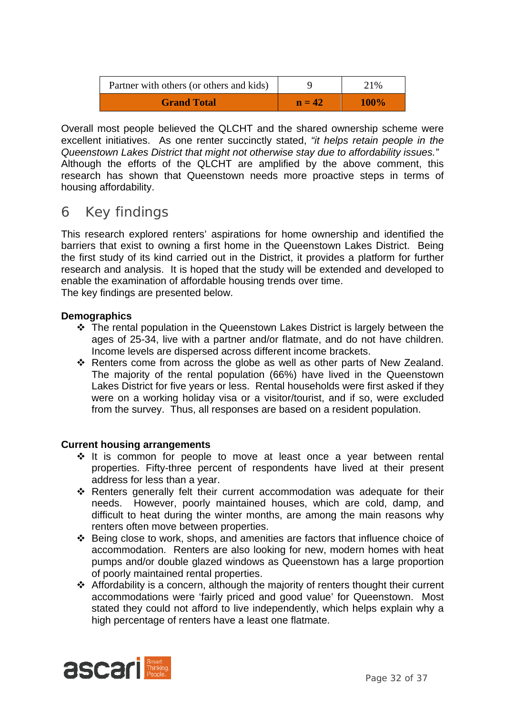| Partner with others (or others and kids) |          | 21%         |
|------------------------------------------|----------|-------------|
| <b>Grand Total</b>                       | $n = 42$ | <b>100%</b> |

Overall most people believed the QLCHT and the shared ownership scheme were excellent initiatives. As one renter succinctly stated, *"it helps retain people in the Queenstown Lakes District that might not otherwise stay due to affordability issues."* Although the efforts of the QLCHT are amplified by the above comment, this research has shown that Queenstown needs more proactive steps in terms of housing affordability.

## 6 Key findings

This research explored renters' aspirations for home ownership and identified the barriers that exist to owning a first home in the Queenstown Lakes District. Being the first study of its kind carried out in the District, it provides a platform for further research and analysis. It is hoped that the study will be extended and developed to enable the examination of affordable housing trends over time. The key findings are presented below.

### **Demographics**

- The rental population in the Queenstown Lakes District is largely between the ages of 25-34, live with a partner and/or flatmate, and do not have children. Income levels are dispersed across different income brackets.
- \* Renters come from across the globe as well as other parts of New Zealand. The majority of the rental population (66%) have lived in the Queenstown Lakes District for five years or less. Rental households were first asked if they were on a working holiday visa or a visitor/tourist, and if so, were excluded from the survey. Thus, all responses are based on a resident population.

### **Current housing arrangements**

- $\div$  It is common for people to move at least once a year between rental properties. Fifty-three percent of respondents have lived at their present address for less than a year.
- \* Renters generally felt their current accommodation was adequate for their needs. However, poorly maintained houses, which are cold, damp, and difficult to heat during the winter months, are among the main reasons why renters often move between properties.
- Being close to work, shops, and amenities are factors that influence choice of accommodation. Renters are also looking for new, modern homes with heat pumps and/or double glazed windows as Queenstown has a large proportion of poorly maintained rental properties.
- Affordability is a concern, although the majority of renters thought their current accommodations were 'fairly priced and good value' for Queenstown. Most stated they could not afford to live independently, which helps explain why a high percentage of renters have a least one flatmate.

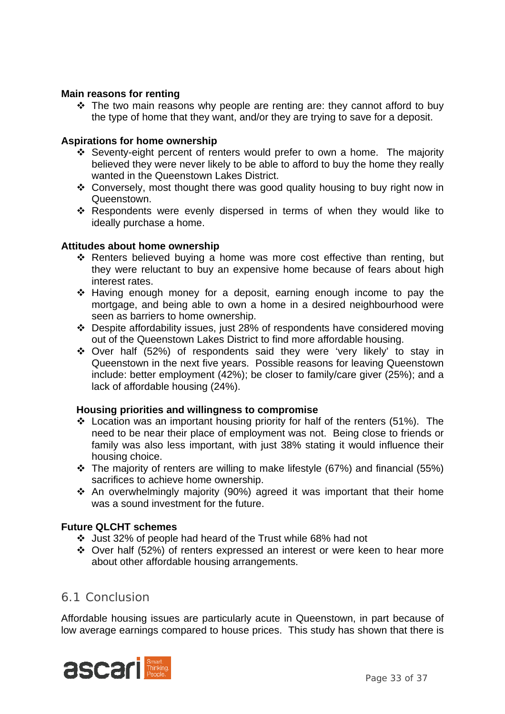### **Main reasons for renting**

 $\cdot \cdot$  The two main reasons why people are renting are: they cannot afford to buy the type of home that they want, and/or they are trying to save for a deposit.

#### **Aspirations for home ownership**

- Seventy-eight percent of renters would prefer to own a home. The majority believed they were never likely to be able to afford to buy the home they really wanted in the Queenstown Lakes District.
- Conversely, most thought there was good quality housing to buy right now in Queenstown.
- Respondents were evenly dispersed in terms of when they would like to ideally purchase a home.

#### **Attitudes about home ownership**

- Renters believed buying a home was more cost effective than renting, but they were reluctant to buy an expensive home because of fears about high interest rates.
- Having enough money for a deposit, earning enough income to pay the mortgage, and being able to own a home in a desired neighbourhood were seen as barriers to home ownership.
- Despite affordability issues, just 28% of respondents have considered moving out of the Queenstown Lakes District to find more affordable housing.
- Over half (52%) of respondents said they were 'very likely' to stay in Queenstown in the next five years. Possible reasons for leaving Queenstown include: better employment (42%); be closer to family/care giver (25%); and a lack of affordable housing (24%).

#### **Housing priorities and willingness to compromise**

- $\div$  Location was an important housing priority for half of the renters (51%). The need to be near their place of employment was not. Being close to friends or family was also less important, with just 38% stating it would influence their housing choice.
- \* The majority of renters are willing to make lifestyle (67%) and financial (55%) sacrifices to achieve home ownership.
- $\cdot$  An overwhelmingly majority (90%) agreed it was important that their home was a sound investment for the future.

#### **Future QLCHT schemes**

- Just 32% of people had heard of the Trust while 68% had not
- Over half (52%) of renters expressed an interest or were keen to hear more about other affordable housing arrangements.

### 6.1 Conclusion

Affordable housing issues are particularly acute in Queenstown, in part because of low average earnings compared to house prices. This study has shown that there is

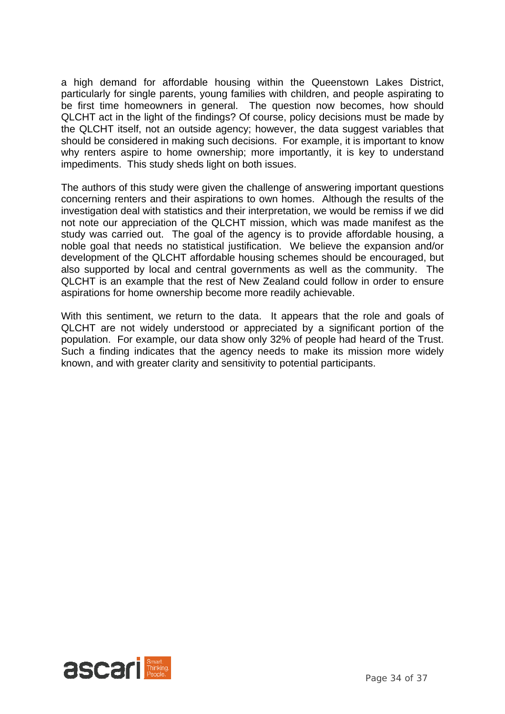a high demand for affordable housing within the Queenstown Lakes District, particularly for single parents, young families with children, and people aspirating to be first time homeowners in general. The question now becomes, how should QLCHT act in the light of the findings? Of course, policy decisions must be made by the QLCHT itself, not an outside agency; however, the data suggest variables that should be considered in making such decisions. For example, it is important to know why renters aspire to home ownership; more importantly, it is key to understand impediments. This study sheds light on both issues.

The authors of this study were given the challenge of answering important questions concerning renters and their aspirations to own homes. Although the results of the investigation deal with statistics and their interpretation, we would be remiss if we did not note our appreciation of the QLCHT mission, which was made manifest as the study was carried out. The goal of the agency is to provide affordable housing, a noble goal that needs no statistical justification. We believe the expansion and/or development of the QLCHT affordable housing schemes should be encouraged, but also supported by local and central governments as well as the community. The QLCHT is an example that the rest of New Zealand could follow in order to ensure aspirations for home ownership become more readily achievable.

With this sentiment, we return to the data. It appears that the role and goals of QLCHT are not widely understood or appreciated by a significant portion of the population. For example, our data show only 32% of people had heard of the Trust. Such a finding indicates that the agency needs to make its mission more widely known, and with greater clarity and sensitivity to potential participants.

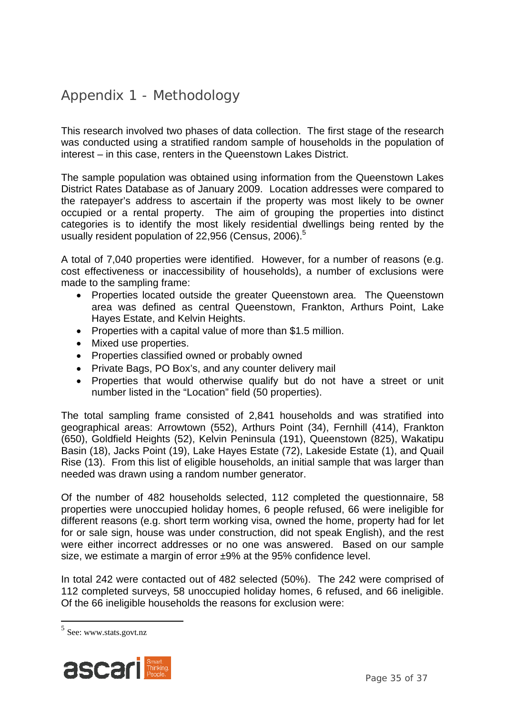## Appendix 1 - Methodology

This research involved two phases of data collection. The first stage of the research was conducted using a stratified random sample of households in the population of interest – in this case, renters in the Queenstown Lakes District.

The sample population was obtained using information from the Queenstown Lakes District Rates Database as of January 2009. Location addresses were compared to the ratepayer's address to ascertain if the property was most likely to be owner occupied or a rental property. The aim of grouping the properties into distinct categories is to identify the most likely residential dwellings being rented by the usually resident population of 22,956 (Census, 2006).<sup>5</sup>

A total of 7,040 properties were identified. However, for a number of reasons (e.g. cost effectiveness or inaccessibility of households), a number of exclusions were made to the sampling frame:

- Properties located outside the greater Queenstown area. The Queenstown area was defined as central Queenstown, Frankton, Arthurs Point, Lake Hayes Estate, and Kelvin Heights.
- Properties with a capital value of more than \$1.5 million.
- Mixed use properties.
- Properties classified owned or probably owned
- Private Bags, PO Box's, and any counter delivery mail
- Properties that would otherwise qualify but do not have a street or unit number listed in the "Location" field (50 properties).

The total sampling frame consisted of 2,841 households and was stratified into geographical areas: Arrowtown (552), Arthurs Point (34), Fernhill (414), Frankton (650), Goldfield Heights (52), Kelvin Peninsula (191), Queenstown (825), Wakatipu Basin (18), Jacks Point (19), Lake Hayes Estate (72), Lakeside Estate (1), and Quail Rise (13). From this list of eligible households, an initial sample that was larger than needed was drawn using a random number generator.

Of the number of 482 households selected, 112 completed the questionnaire, 58 properties were unoccupied holiday homes, 6 people refused, 66 were ineligible for different reasons (e.g. short term working visa, owned the home, property had for let for or sale sign, house was under construction, did not speak English), and the rest were either incorrect addresses or no one was answered. Based on our sample size, we estimate a margin of error ±9% at the 95% confidence level.

In total 242 were contacted out of 482 selected (50%). The 242 were comprised of 112 completed surveys, 58 unoccupied holiday homes, 6 refused, and 66 ineligible. Of the 66 ineligible households the reasons for exclusion were:



<sup>5</sup> See: www.stats.govt.nz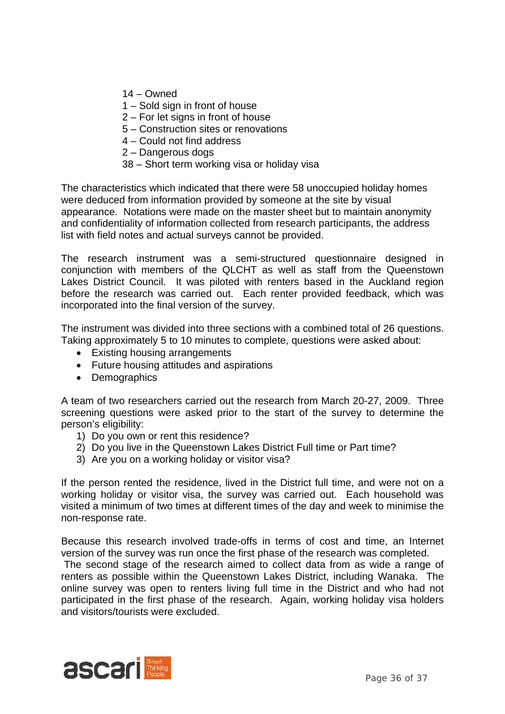- 14 Owned
- 1 Sold sign in front of house
- 2 For let signs in front of house
- 5 Construction sites or renovations
- 4 Could not find address
- 2 Dangerous dogs
- 38 Short term working visa or holiday visa

The characteristics which indicated that there were 58 unoccupied holiday homes were deduced from information provided by someone at the site by visual appearance. Notations were made on the master sheet but to maintain anonymity and confidentiality of information collected from research participants, the address list with field notes and actual surveys cannot be provided.

The research instrument was a semi-structured questionnaire designed in conjunction with members of the QLCHT as well as staff from the Queenstown Lakes District Council. It was piloted with renters based in the Auckland region before the research was carried out. Each renter provided feedback, which was incorporated into the final version of the survey.

The instrument was divided into three sections with a combined total of 26 questions. Taking approximately 5 to 10 minutes to complete, questions were asked about:

- Existing housing arrangements
- Future housing attitudes and aspirations
- Demographics

A team of two researchers carried out the research from March 20-27, 2009. Three screening questions were asked prior to the start of the survey to determine the person's eligibility:

- 1) Do you own or rent this residence?
- 2) Do you live in the Queenstown Lakes District Full time or Part time?
- 3) Are you on a working holiday or visitor visa?

If the person rented the residence, lived in the District full time, and were not on a working holiday or visitor visa, the survey was carried out. Each household was visited a minimum of two times at different times of the day and week to minimise the non-response rate.

Because this research involved trade-offs in terms of cost and time, an Internet version of the survey was run once the first phase of the research was completed.

 The second stage of the research aimed to collect data from as wide a range of renters as possible within the Queenstown Lakes District, including Wanaka. The online survey was open to renters living full time in the District and who had not participated in the first phase of the research. Again, working holiday visa holders and visitors/tourists were excluded.